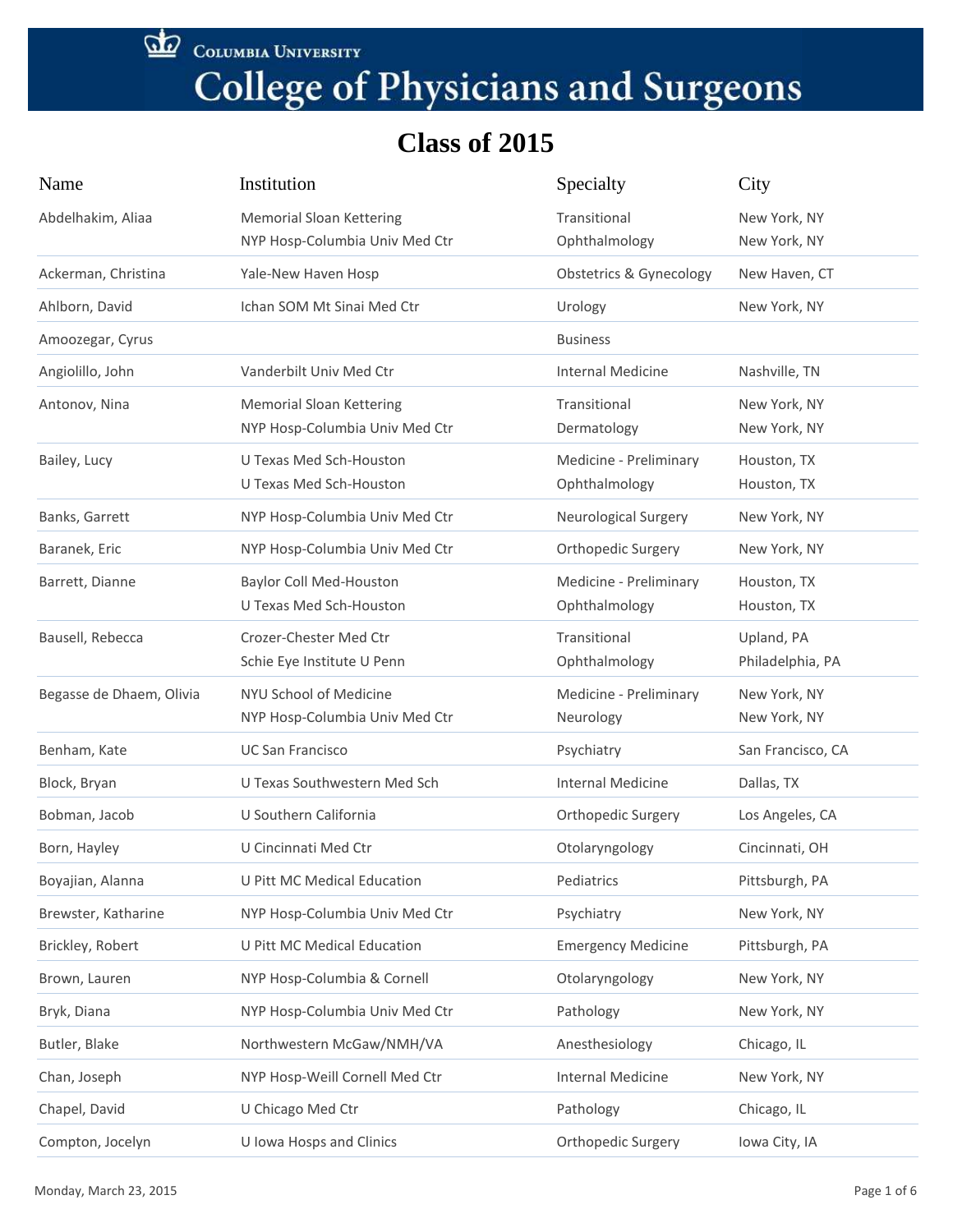COLUMBIA UNIVERSITY

# **College of Physicians and Surgeons**

| Name                     | Institution                                                       | Specialty                               | City                           |
|--------------------------|-------------------------------------------------------------------|-----------------------------------------|--------------------------------|
| Abdelhakim, Aliaa        | <b>Memorial Sloan Kettering</b><br>NYP Hosp-Columbia Univ Med Ctr | Transitional<br>Ophthalmology           | New York, NY<br>New York, NY   |
| Ackerman, Christina      | Yale-New Haven Hosp                                               | <b>Obstetrics &amp; Gynecology</b>      | New Haven, CT                  |
| Ahlborn, David           | Ichan SOM Mt Sinai Med Ctr                                        | Urology                                 | New York, NY                   |
| Amoozegar, Cyrus         |                                                                   | <b>Business</b>                         |                                |
| Angiolillo, John         | Vanderbilt Univ Med Ctr                                           | Internal Medicine                       | Nashville, TN                  |
| Antonov, Nina            | <b>Memorial Sloan Kettering</b><br>NYP Hosp-Columbia Univ Med Ctr | Transitional<br>Dermatology             | New York, NY<br>New York, NY   |
| Bailey, Lucy             | U Texas Med Sch-Houston<br><b>U Texas Med Sch-Houston</b>         | Medicine - Preliminary<br>Ophthalmology | Houston, TX<br>Houston, TX     |
| Banks, Garrett           | NYP Hosp-Columbia Univ Med Ctr                                    | <b>Neurological Surgery</b>             | New York, NY                   |
| Baranek, Eric            | NYP Hosp-Columbia Univ Med Ctr                                    | Orthopedic Surgery                      | New York, NY                   |
| Barrett, Dianne          | <b>Baylor Coll Med-Houston</b><br>U Texas Med Sch-Houston         | Medicine - Preliminary<br>Ophthalmology | Houston, TX<br>Houston, TX     |
| Bausell, Rebecca         | Crozer-Chester Med Ctr<br>Schie Eye Institute U Penn              | Transitional<br>Ophthalmology           | Upland, PA<br>Philadelphia, PA |
| Begasse de Dhaem, Olivia | NYU School of Medicine<br>NYP Hosp-Columbia Univ Med Ctr          | Medicine - Preliminary<br>Neurology     | New York, NY<br>New York, NY   |
| Benham, Kate             | <b>UC San Francisco</b>                                           | Psychiatry                              | San Francisco, CA              |
| Block, Bryan             | U Texas Southwestern Med Sch                                      | <b>Internal Medicine</b>                | Dallas, TX                     |
| Bobman, Jacob            | U Southern California                                             | <b>Orthopedic Surgery</b>               | Los Angeles, CA                |
| Born, Hayley             | U Cincinnati Med Ctr                                              | Otolaryngology                          | Cincinnati, OH                 |
| Boyajian, Alanna         | <b>U Pitt MC Medical Education</b>                                | Pediatrics                              | Pittsburgh, PA                 |
| Brewster, Katharine      | NYP Hosp-Columbia Univ Med Ctr                                    | Psychiatry                              | New York, NY                   |
| Brickley, Robert         | <b>U Pitt MC Medical Education</b>                                | <b>Emergency Medicine</b>               | Pittsburgh, PA                 |
| Brown, Lauren            | NYP Hosp-Columbia & Cornell                                       | Otolaryngology                          | New York, NY                   |
| Bryk, Diana              | NYP Hosp-Columbia Univ Med Ctr                                    | Pathology                               | New York, NY                   |
| Butler, Blake            | Northwestern McGaw/NMH/VA                                         | Anesthesiology                          | Chicago, IL                    |
| Chan, Joseph             | NYP Hosp-Weill Cornell Med Ctr                                    | <b>Internal Medicine</b>                | New York, NY                   |
| Chapel, David            | U Chicago Med Ctr                                                 | Pathology                               | Chicago, IL                    |
| Compton, Jocelyn         | U Iowa Hosps and Clinics                                          | Orthopedic Surgery                      | Iowa City, IA                  |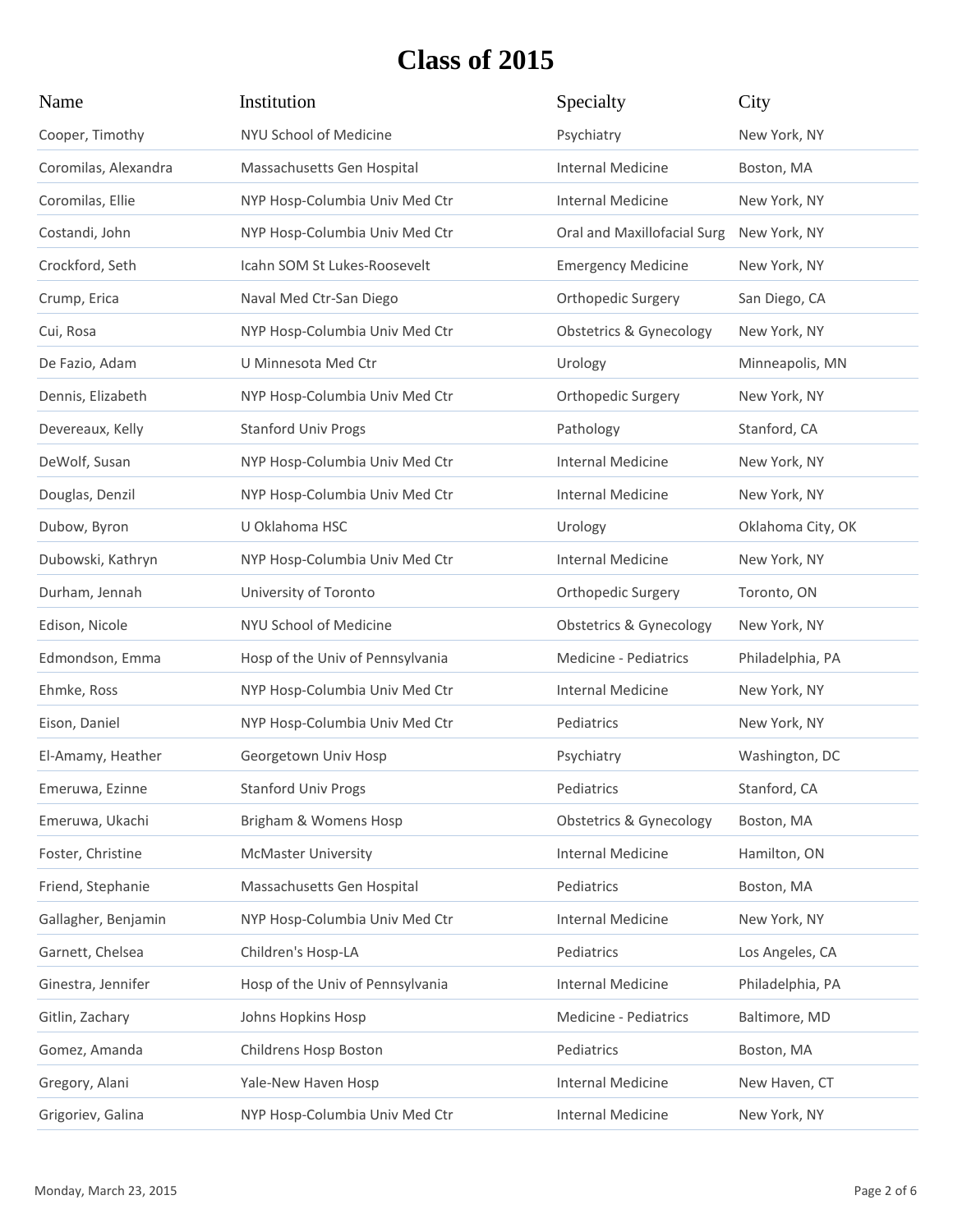| Name                 | Institution                      | Specialty                          | City              |
|----------------------|----------------------------------|------------------------------------|-------------------|
| Cooper, Timothy      | NYU School of Medicine           | Psychiatry                         | New York, NY      |
| Coromilas, Alexandra | Massachusetts Gen Hospital       | <b>Internal Medicine</b>           | Boston, MA        |
| Coromilas, Ellie     | NYP Hosp-Columbia Univ Med Ctr   | Internal Medicine                  | New York, NY      |
| Costandi, John       | NYP Hosp-Columbia Univ Med Ctr   | Oral and Maxillofacial Surg        | New York, NY      |
| Crockford, Seth      | Icahn SOM St Lukes-Roosevelt     | <b>Emergency Medicine</b>          | New York, NY      |
| Crump, Erica         | Naval Med Ctr-San Diego          | Orthopedic Surgery                 | San Diego, CA     |
| Cui, Rosa            | NYP Hosp-Columbia Univ Med Ctr   | <b>Obstetrics &amp; Gynecology</b> | New York, NY      |
| De Fazio, Adam       | U Minnesota Med Ctr              | Urology                            | Minneapolis, MN   |
| Dennis, Elizabeth    | NYP Hosp-Columbia Univ Med Ctr   | Orthopedic Surgery                 | New York, NY      |
| Devereaux, Kelly     | <b>Stanford Univ Progs</b>       | Pathology                          | Stanford, CA      |
| DeWolf, Susan        | NYP Hosp-Columbia Univ Med Ctr   | <b>Internal Medicine</b>           | New York, NY      |
| Douglas, Denzil      | NYP Hosp-Columbia Univ Med Ctr   | Internal Medicine                  | New York, NY      |
| Dubow, Byron         | U Oklahoma HSC                   | Urology                            | Oklahoma City, OK |
| Dubowski, Kathryn    | NYP Hosp-Columbia Univ Med Ctr   | Internal Medicine                  | New York, NY      |
| Durham, Jennah       | University of Toronto            | Orthopedic Surgery                 | Toronto, ON       |
| Edison, Nicole       | NYU School of Medicine           | <b>Obstetrics &amp; Gynecology</b> | New York, NY      |
| Edmondson, Emma      | Hosp of the Univ of Pennsylvania | Medicine - Pediatrics              | Philadelphia, PA  |
| Ehmke, Ross          | NYP Hosp-Columbia Univ Med Ctr   | Internal Medicine                  | New York, NY      |
| Eison, Daniel        | NYP Hosp-Columbia Univ Med Ctr   | Pediatrics                         | New York, NY      |
| El-Amamy, Heather    | Georgetown Univ Hosp             | Psychiatry                         | Washington, DC    |
| Emeruwa, Ezinne      | <b>Stanford Univ Progs</b>       | Pediatrics                         | Stanford, CA      |
| Emeruwa, Ukachi      | Brigham & Womens Hosp            | <b>Obstetrics &amp; Gynecology</b> | Boston, MA        |
| Foster, Christine    | <b>McMaster University</b>       | <b>Internal Medicine</b>           | Hamilton, ON      |
| Friend, Stephanie    | Massachusetts Gen Hospital       | Pediatrics                         | Boston, MA        |
| Gallagher, Benjamin  | NYP Hosp-Columbia Univ Med Ctr   | <b>Internal Medicine</b>           | New York, NY      |
| Garnett, Chelsea     | Children's Hosp-LA               | Pediatrics                         | Los Angeles, CA   |
| Ginestra, Jennifer   | Hosp of the Univ of Pennsylvania | <b>Internal Medicine</b>           | Philadelphia, PA  |
| Gitlin, Zachary      | Johns Hopkins Hosp               | Medicine - Pediatrics              | Baltimore, MD     |
| Gomez, Amanda        | Childrens Hosp Boston            | Pediatrics                         | Boston, MA        |
| Gregory, Alani       | Yale-New Haven Hosp              | <b>Internal Medicine</b>           | New Haven, CT     |
| Grigoriev, Galina    | NYP Hosp-Columbia Univ Med Ctr   | <b>Internal Medicine</b>           | New York, NY      |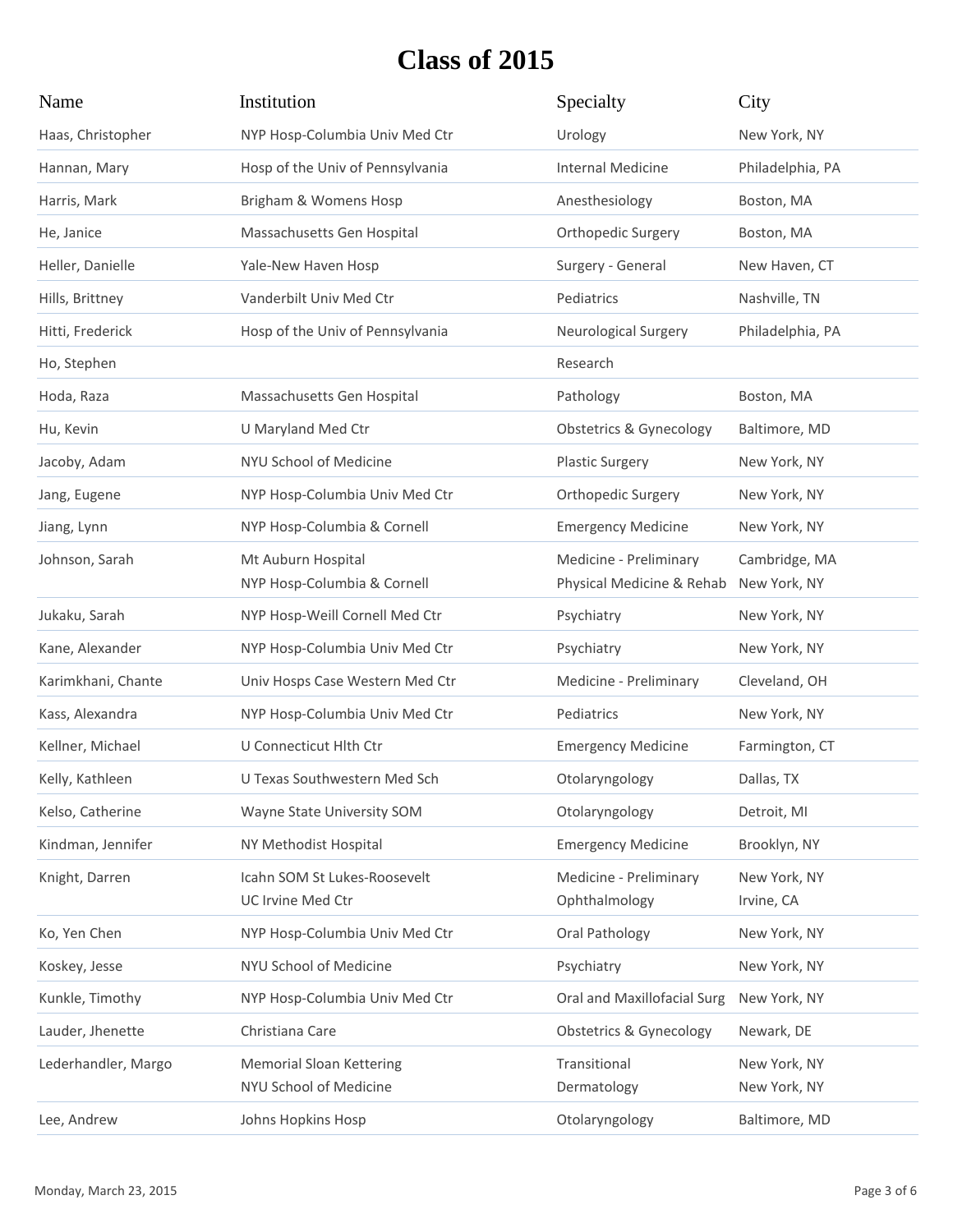| Name                | Institution                                               | Specialty                                           | City                          |
|---------------------|-----------------------------------------------------------|-----------------------------------------------------|-------------------------------|
| Haas, Christopher   | NYP Hosp-Columbia Univ Med Ctr                            | Urology                                             | New York, NY                  |
| Hannan, Mary        | Hosp of the Univ of Pennsylvania                          | <b>Internal Medicine</b>                            | Philadelphia, PA              |
| Harris, Mark        | Brigham & Womens Hosp                                     | Anesthesiology                                      | Boston, MA                    |
| He, Janice          | Massachusetts Gen Hospital                                | Orthopedic Surgery                                  | Boston, MA                    |
| Heller, Danielle    | Yale-New Haven Hosp                                       | Surgery - General                                   | New Haven, CT                 |
| Hills, Brittney     | Vanderbilt Univ Med Ctr                                   | Pediatrics                                          | Nashville, TN                 |
| Hitti, Frederick    | Hosp of the Univ of Pennsylvania                          | Neurological Surgery                                | Philadelphia, PA              |
| Ho, Stephen         |                                                           | Research                                            |                               |
| Hoda, Raza          | Massachusetts Gen Hospital                                | Pathology                                           | Boston, MA                    |
| Hu, Kevin           | U Maryland Med Ctr                                        | <b>Obstetrics &amp; Gynecology</b>                  | Baltimore, MD                 |
| Jacoby, Adam        | NYU School of Medicine                                    | <b>Plastic Surgery</b>                              | New York, NY                  |
| Jang, Eugene        | NYP Hosp-Columbia Univ Med Ctr                            | <b>Orthopedic Surgery</b>                           | New York, NY                  |
| Jiang, Lynn         | NYP Hosp-Columbia & Cornell                               | <b>Emergency Medicine</b>                           | New York, NY                  |
| Johnson, Sarah      | Mt Auburn Hospital<br>NYP Hosp-Columbia & Cornell         | Medicine - Preliminary<br>Physical Medicine & Rehab | Cambridge, MA<br>New York, NY |
| Jukaku, Sarah       | NYP Hosp-Weill Cornell Med Ctr                            | Psychiatry                                          | New York, NY                  |
| Kane, Alexander     | NYP Hosp-Columbia Univ Med Ctr                            | Psychiatry                                          | New York, NY                  |
| Karimkhani, Chante  | Univ Hosps Case Western Med Ctr                           | Medicine - Preliminary                              | Cleveland, OH                 |
| Kass, Alexandra     | NYP Hosp-Columbia Univ Med Ctr                            | Pediatrics                                          | New York, NY                  |
| Kellner, Michael    | U Connecticut Hlth Ctr                                    | <b>Emergency Medicine</b>                           | Farmington, CT                |
| Kelly, Kathleen     | U Texas Southwestern Med Sch                              | Otolaryngology                                      | Dallas, TX                    |
| Kelso, Catherine    | Wayne State University SOM                                | Otolaryngology                                      | Detroit, MI                   |
| Kindman, Jennifer   | NY Methodist Hospital                                     | <b>Emergency Medicine</b>                           | Brooklyn, NY                  |
| Knight, Darren      | Icahn SOM St Lukes-Roosevelt<br><b>UC Irvine Med Ctr</b>  | Medicine - Preliminary<br>Ophthalmology             | New York, NY<br>Irvine, CA    |
| Ko, Yen Chen        | NYP Hosp-Columbia Univ Med Ctr                            | Oral Pathology                                      | New York, NY                  |
| Koskey, Jesse       | NYU School of Medicine                                    | Psychiatry                                          | New York, NY                  |
| Kunkle, Timothy     | NYP Hosp-Columbia Univ Med Ctr                            | Oral and Maxillofacial Surg                         | New York, NY                  |
| Lauder, Jhenette    | Christiana Care                                           | <b>Obstetrics &amp; Gynecology</b>                  | Newark, DE                    |
| Lederhandler, Margo | <b>Memorial Sloan Kettering</b><br>NYU School of Medicine | Transitional<br>Dermatology                         | New York, NY<br>New York, NY  |
| Lee, Andrew         | Johns Hopkins Hosp                                        | Otolaryngology                                      | Baltimore, MD                 |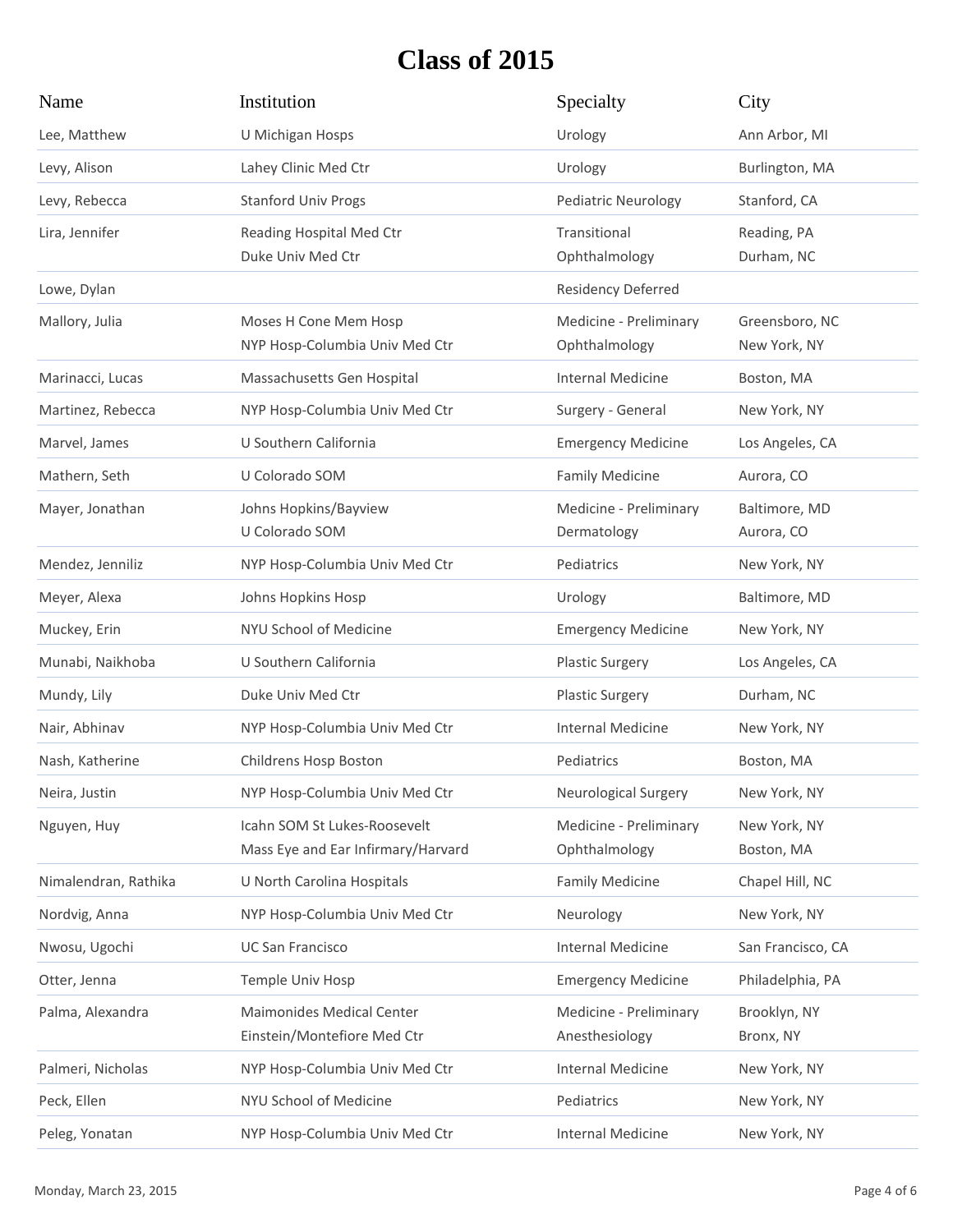| Name                 | Institution                                                        | Specialty                                | City                           |
|----------------------|--------------------------------------------------------------------|------------------------------------------|--------------------------------|
| Lee, Matthew         | U Michigan Hosps                                                   | Urology                                  | Ann Arbor, MI                  |
| Levy, Alison         | Lahey Clinic Med Ctr                                               | Urology                                  | Burlington, MA                 |
| Levy, Rebecca        | <b>Stanford Univ Progs</b>                                         | Pediatric Neurology                      | Stanford, CA                   |
| Lira, Jennifer       | Reading Hospital Med Ctr<br>Duke Univ Med Ctr                      | Transitional<br>Ophthalmology            | Reading, PA<br>Durham, NC      |
| Lowe, Dylan          |                                                                    | Residency Deferred                       |                                |
| Mallory, Julia       | Moses H Cone Mem Hosp<br>NYP Hosp-Columbia Univ Med Ctr            | Medicine - Preliminary<br>Ophthalmology  | Greensboro, NC<br>New York, NY |
| Marinacci, Lucas     | Massachusetts Gen Hospital                                         | <b>Internal Medicine</b>                 | Boston, MA                     |
| Martinez, Rebecca    | NYP Hosp-Columbia Univ Med Ctr                                     | Surgery - General                        | New York, NY                   |
| Marvel, James        | U Southern California                                              | <b>Emergency Medicine</b>                | Los Angeles, CA                |
| Mathern, Seth        | U Colorado SOM                                                     | <b>Family Medicine</b>                   | Aurora, CO                     |
| Mayer, Jonathan      | Johns Hopkins/Bayview<br>U Colorado SOM                            | Medicine - Preliminary<br>Dermatology    | Baltimore, MD<br>Aurora, CO    |
| Mendez, Jenniliz     | NYP Hosp-Columbia Univ Med Ctr                                     | Pediatrics                               | New York, NY                   |
| Meyer, Alexa         | Johns Hopkins Hosp                                                 | Urology                                  | Baltimore, MD                  |
| Muckey, Erin         | NYU School of Medicine                                             | <b>Emergency Medicine</b>                | New York, NY                   |
| Munabi, Naikhoba     | U Southern California                                              | <b>Plastic Surgery</b>                   | Los Angeles, CA                |
| Mundy, Lily          | Duke Univ Med Ctr                                                  | <b>Plastic Surgery</b>                   | Durham, NC                     |
| Nair, Abhinav        | NYP Hosp-Columbia Univ Med Ctr                                     | <b>Internal Medicine</b>                 | New York, NY                   |
| Nash, Katherine      | Childrens Hosp Boston                                              | Pediatrics                               | Boston, MA                     |
| Neira, Justin        | NYP Hosp-Columbia Univ Med Ctr                                     | <b>Neurological Surgery</b>              | New York, NY                   |
| Nguyen, Huy          | Icahn SOM St Lukes-Roosevelt<br>Mass Eye and Ear Infirmary/Harvard | Medicine - Preliminary<br>Ophthalmology  | New York, NY<br>Boston, MA     |
| Nimalendran, Rathika | U North Carolina Hospitals                                         | <b>Family Medicine</b>                   | Chapel Hill, NC                |
| Nordvig, Anna        | NYP Hosp-Columbia Univ Med Ctr                                     | Neurology                                | New York, NY                   |
| Nwosu, Ugochi        | <b>UC San Francisco</b>                                            | <b>Internal Medicine</b>                 | San Francisco, CA              |
| Otter, Jenna         | Temple Univ Hosp                                                   | <b>Emergency Medicine</b>                | Philadelphia, PA               |
| Palma, Alexandra     | <b>Maimonides Medical Center</b><br>Einstein/Montefiore Med Ctr    | Medicine - Preliminary<br>Anesthesiology | Brooklyn, NY<br>Bronx, NY      |
| Palmeri, Nicholas    | NYP Hosp-Columbia Univ Med Ctr                                     | <b>Internal Medicine</b>                 | New York, NY                   |
| Peck, Ellen          | NYU School of Medicine                                             | Pediatrics                               | New York, NY                   |
| Peleg, Yonatan       | NYP Hosp-Columbia Univ Med Ctr                                     | <b>Internal Medicine</b>                 | New York, NY                   |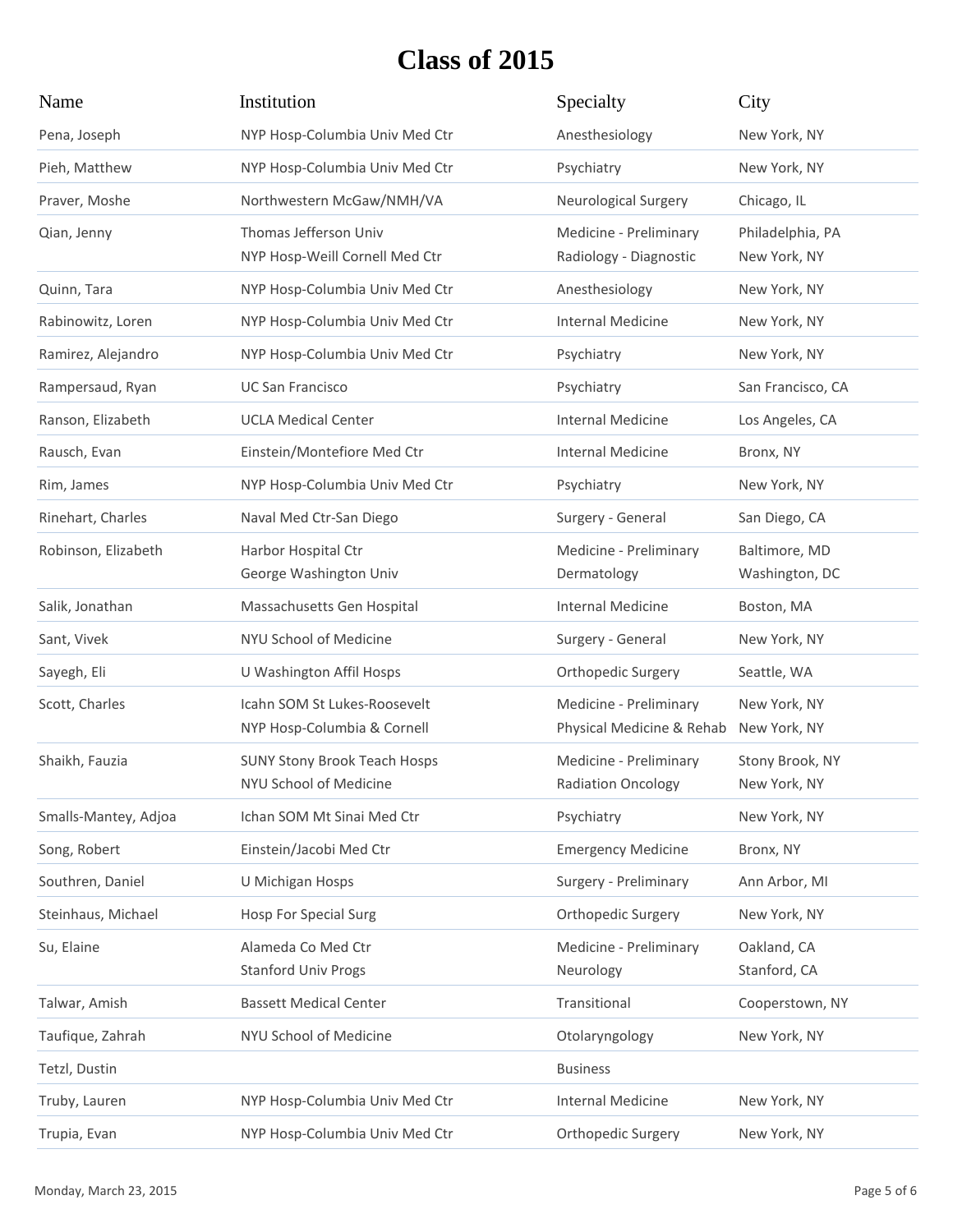| Name                 | Institution                                                   | Specialty                                           | City                             |
|----------------------|---------------------------------------------------------------|-----------------------------------------------------|----------------------------------|
| Pena, Joseph         | NYP Hosp-Columbia Univ Med Ctr                                | Anesthesiology                                      | New York, NY                     |
| Pieh, Matthew        | NYP Hosp-Columbia Univ Med Ctr                                | Psychiatry                                          | New York, NY                     |
| Praver, Moshe        | Northwestern McGaw/NMH/VA                                     | <b>Neurological Surgery</b>                         | Chicago, IL                      |
| Qian, Jenny          | Thomas Jefferson Univ<br>NYP Hosp-Weill Cornell Med Ctr       | Medicine - Preliminary<br>Radiology - Diagnostic    | Philadelphia, PA<br>New York, NY |
| Quinn, Tara          | NYP Hosp-Columbia Univ Med Ctr                                | Anesthesiology                                      | New York, NY                     |
| Rabinowitz, Loren    | NYP Hosp-Columbia Univ Med Ctr                                | Internal Medicine                                   | New York, NY                     |
| Ramirez, Alejandro   | NYP Hosp-Columbia Univ Med Ctr                                | Psychiatry                                          | New York, NY                     |
| Rampersaud, Ryan     | <b>UC San Francisco</b>                                       | Psychiatry                                          | San Francisco, CA                |
| Ranson, Elizabeth    | <b>UCLA Medical Center</b>                                    | <b>Internal Medicine</b>                            | Los Angeles, CA                  |
| Rausch, Evan         | Einstein/Montefiore Med Ctr                                   | <b>Internal Medicine</b>                            | Bronx, NY                        |
| Rim, James           | NYP Hosp-Columbia Univ Med Ctr                                | Psychiatry                                          | New York, NY                     |
| Rinehart, Charles    | Naval Med Ctr-San Diego                                       | Surgery - General                                   | San Diego, CA                    |
| Robinson, Elizabeth  | Harbor Hospital Ctr<br>George Washington Univ                 | Medicine - Preliminary<br>Dermatology               | Baltimore, MD<br>Washington, DC  |
| Salik, Jonathan      | Massachusetts Gen Hospital                                    | <b>Internal Medicine</b>                            | Boston, MA                       |
| Sant, Vivek          | NYU School of Medicine                                        | Surgery - General                                   | New York, NY                     |
| Sayegh, Eli          | U Washington Affil Hosps                                      | Orthopedic Surgery                                  | Seattle, WA                      |
| Scott, Charles       | Icahn SOM St Lukes-Roosevelt<br>NYP Hosp-Columbia & Cornell   | Medicine - Preliminary<br>Physical Medicine & Rehab | New York, NY<br>New York, NY     |
| Shaikh, Fauzia       | <b>SUNY Stony Brook Teach Hosps</b><br>NYU School of Medicine | Medicine - Preliminary<br>Radiation Oncology        | Stony Brook, NY<br>New York, NY  |
| Smalls-Mantey, Adjoa | Ichan SOM Mt Sinai Med Ctr                                    | Psychiatry                                          | New York, NY                     |
| Song, Robert         | Einstein/Jacobi Med Ctr                                       | <b>Emergency Medicine</b>                           | Bronx, NY                        |
| Southren, Daniel     | U Michigan Hosps                                              | Surgery - Preliminary                               | Ann Arbor, MI                    |
| Steinhaus, Michael   | <b>Hosp For Special Surg</b>                                  | Orthopedic Surgery                                  | New York, NY                     |
| Su, Elaine           | Alameda Co Med Ctr<br><b>Stanford Univ Progs</b>              | Medicine - Preliminary<br>Neurology                 | Oakland, CA<br>Stanford, CA      |
| Talwar, Amish        | <b>Bassett Medical Center</b>                                 | Transitional                                        | Cooperstown, NY                  |
| Taufique, Zahrah     | NYU School of Medicine                                        | Otolaryngology                                      | New York, NY                     |
| Tetzl, Dustin        |                                                               | <b>Business</b>                                     |                                  |
| Truby, Lauren        | NYP Hosp-Columbia Univ Med Ctr                                | <b>Internal Medicine</b>                            | New York, NY                     |
| Trupia, Evan         | NYP Hosp-Columbia Univ Med Ctr                                | Orthopedic Surgery                                  | New York, NY                     |